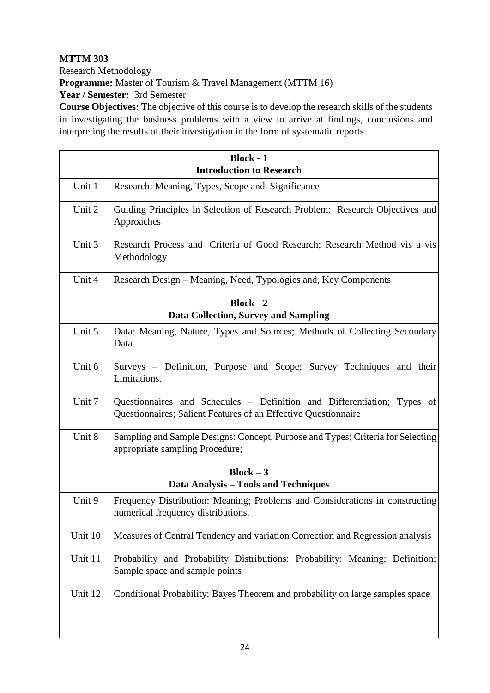## **MTTM 303** Research Methodology **Programme:** Master of Tourism & Travel Management (MTTM 16) **Year / Semester:** 3rd Semester

**Course Objectives:** The objective of this course is to develop the research skills of the students in investigating the business problems with a view to arrive at findings, conclusions and interpreting the results of their investigation in the form of systematic reports.

| <b>Block - 1</b><br><b>Introduction to Research</b>             |                                                                                                                                           |  |
|-----------------------------------------------------------------|-------------------------------------------------------------------------------------------------------------------------------------------|--|
| Unit 1                                                          | Research: Meaning, Types, Scope and. Significance                                                                                         |  |
| Unit 2                                                          | Guiding Principles in Selection of Research Problem; Research Objectives and<br>Approaches                                                |  |
| Unit 3                                                          | Research Process and Criteria of Good Research; Research Method vis a vis<br>Methodology                                                  |  |
| Unit 4                                                          | Research Design – Meaning, Need, Typologies and, Key Components                                                                           |  |
| <b>Block - 2</b><br><b>Data Collection, Survey and Sampling</b> |                                                                                                                                           |  |
| Unit 5                                                          | Data: Meaning, Nature, Types and Sources; Methods of Collecting Secondary<br>Data                                                         |  |
| Unit 6                                                          | Surveys – Definition, Purpose and Scope; Survey Techniques and their<br>Limitations.                                                      |  |
| Unit 7                                                          | Questionnaires and Schedules – Definition and Differentiation; Types of<br>Questionnaires; Salient Features of an Effective Questionnaire |  |
| Unit 8                                                          | Sampling and Sample Designs: Concept, Purpose and Types; Criteria for Selecting<br>appropriate sampling Procedure;                        |  |
| $Block - 3$<br>Data Analysis - Tools and Techniques             |                                                                                                                                           |  |
| Unit 9                                                          | Frequency Distribution: Meaning; Problems and Considerations in constructing<br>numerical frequency distributions.                        |  |
| Unit 10                                                         | Measures of Central Tendency and variation Correction and Regression analysis                                                             |  |
| Unit 11                                                         | Probability and Probability Distributions: Probability: Meaning; Definition;<br>Sample space and sample points                            |  |
| Unit 12                                                         | Conditional Probability; Bayes Theorem and probability on large samples space                                                             |  |
|                                                                 |                                                                                                                                           |  |